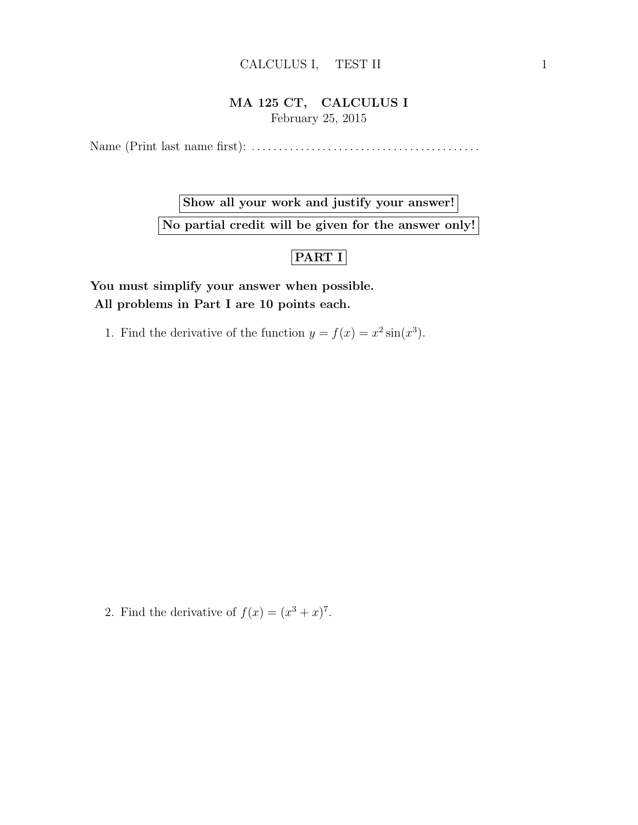## CALCULUS I, TEST II 1

## MA 125 CT, CALCULUS I February 25, 2015

Name (Print last name first): . . . . . . . . . . . . . . . . . . . . . . . . . . . . . . . . . . . . . . . . . .

Show all your work and justify your answer! No partial credit will be given for the answer only!

## PART I

You must simplify your answer when possible. All problems in Part I are 10 points each.

1. Find the derivative of the function  $y = f(x) = x^2 \sin(x^3)$ .

2. Find the derivative of  $f(x) = (x^3 + x)^7$ .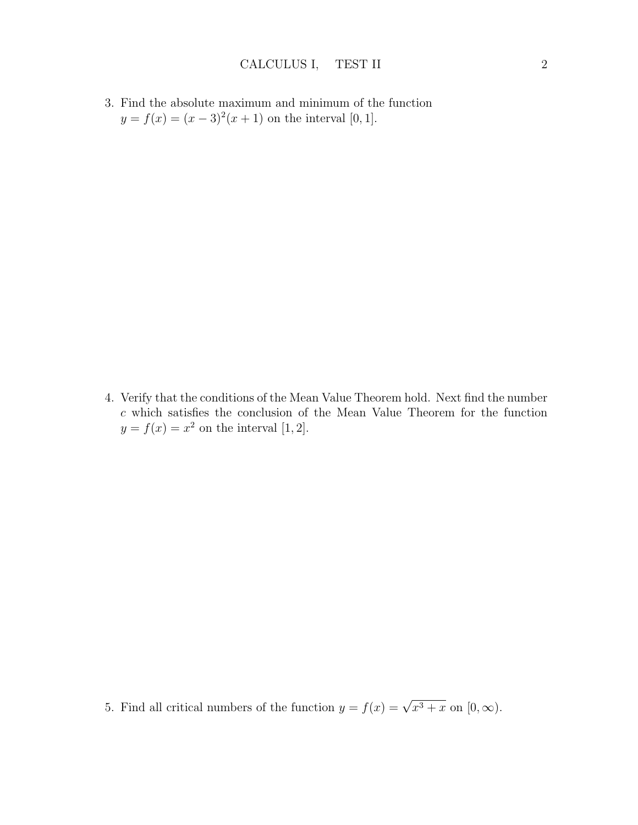3. Find the absolute maximum and minimum of the function  $y = f(x) = (x-3)^2(x+1)$  on the interval [0, 1].

4. Verify that the conditions of the Mean Value Theorem hold. Next find the number  $c$  which satisfies the conclusion of the Mean Value Theorem for the function  $y = f(x) = x^2$  on the interval [1, 2].

5. Find all critical numbers of the function  $y = f(x) = \sqrt{x^3 + x}$  on  $[0, \infty)$ .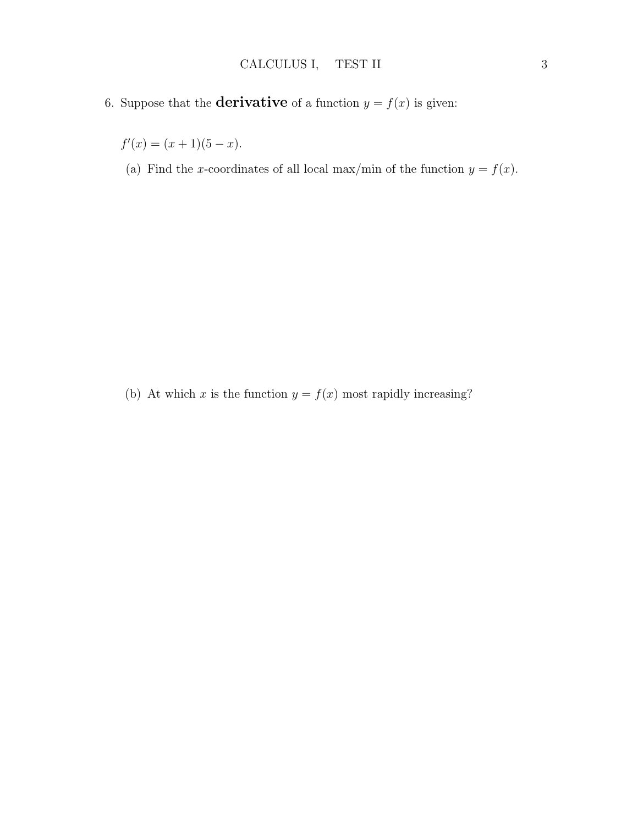- 
- 6. Suppose that the **derivative** of a function  $y = f(x)$  is given:

 $f'(x) = (x+1)(5-x).$ 

(a) Find the x-coordinates of all local max/min of the function  $y = f(x)$ .

(b) At which x is the function  $y = f(x)$  most rapidly increasing?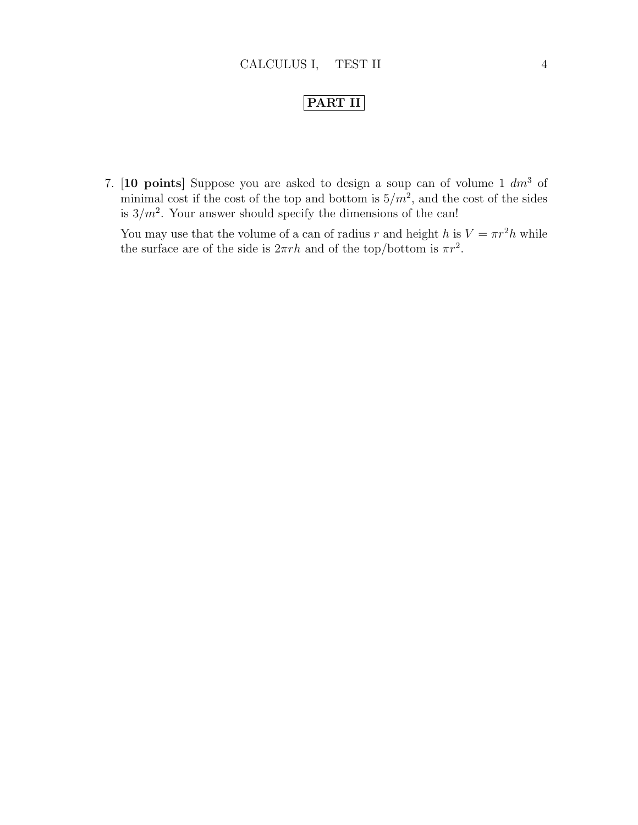## PART II

7. [10 points] Suppose you are asked to design a soup can of volume 1  $dm<sup>3</sup>$  of minimal cost if the cost of the top and bottom is  $5/m^2$ , and the cost of the sides is  $3/m^2$ . Your answer should specify the dimensions of the can!

You may use that the volume of a can of radius r and height h is  $V = \pi r^2 h$  while the surface are of the side is  $2\pi rh$  and of the top/bottom is  $\pi r^2$ .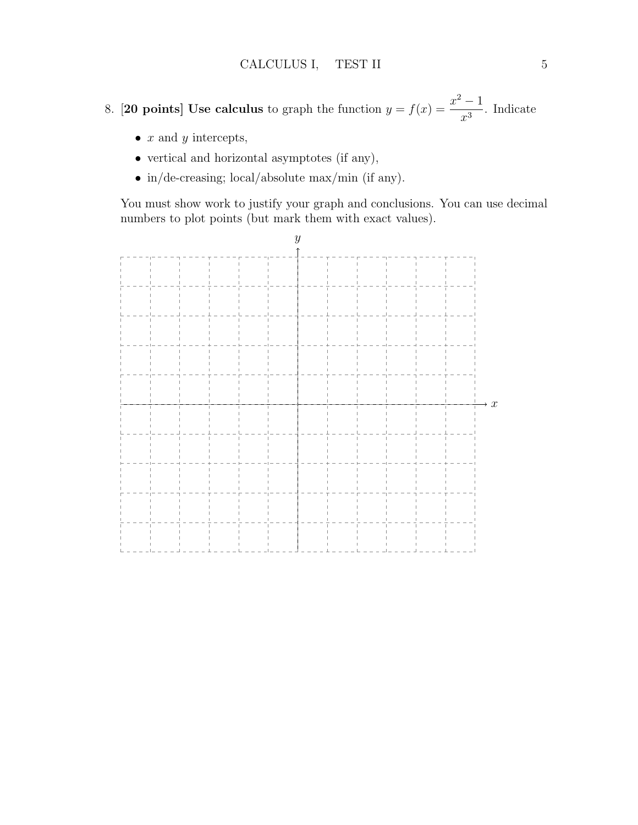8. [20 points] Use calculus to graph the function  $y = f(x) = \frac{x^2 - 1}{x^2}$  $\frac{1}{x^3}$ . Indicate

- $x$  and  $y$  intercepts,
- $\bullet\,$  vertical and horizontal asymptotes (if any),
- in/de-creasing; local/absolute max/min (if any).

You must show work to justify your graph and conclusions. You can use decimal numbers to plot points (but mark them with exact values).